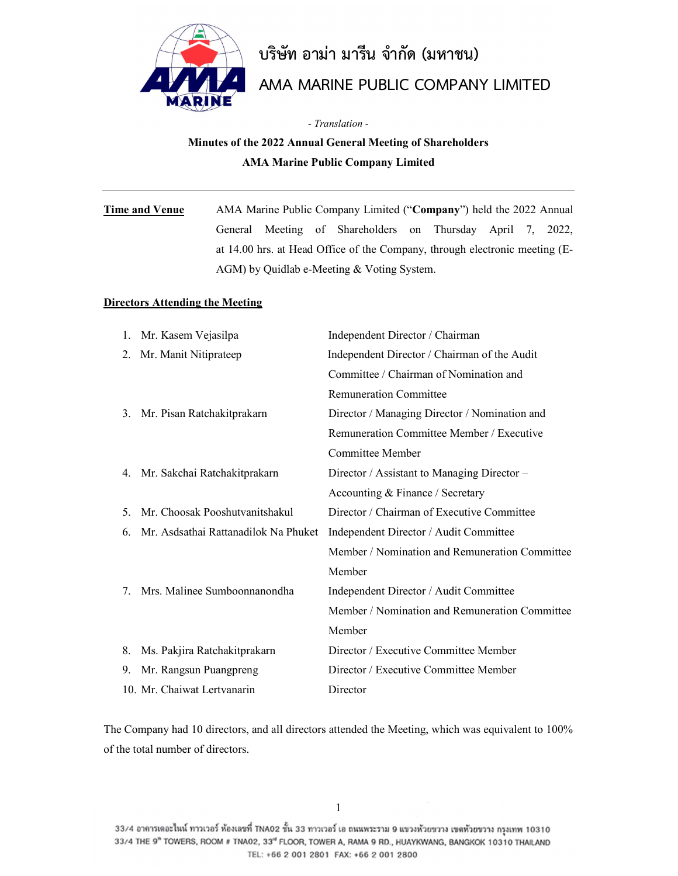

# บริษัท อามา มารีน จํากัด (มหาชน)

# AMA MARINE PUBLIC COMPANY LIMITED

- Translation -

# Minutes of the 2022 Annual General Meeting of Shareholders AMA Marine Public Company Limited

# Time and Venue AMA Marine Public Company Limited ("Company") held the 2022 Annual General Meeting of Shareholders on Thursday April 7, 2022, at 14.00 hrs. at Head Office of the Company, through electronic meeting (E-AGM) by Quidlab e-Meeting & Voting System.

#### Directors Attending the Meeting

|    | 1. Mr. Kasem Vejasilpa               | Independent Director / Chairman                |
|----|--------------------------------------|------------------------------------------------|
| 2. | Mr. Manit Nitiprateep                | Independent Director / Chairman of the Audit   |
|    |                                      | Committee / Chairman of Nomination and         |
|    |                                      | <b>Remuneration Committee</b>                  |
| 3. | Mr. Pisan Ratchakitprakarn           | Director / Managing Director / Nomination and  |
|    |                                      | Remuneration Committee Member / Executive      |
|    |                                      | Committee Member                               |
|    | 4. Mr. Sakchai Ratchakitprakarn      | Director / Assistant to Managing Director –    |
|    |                                      | Accounting & Finance / Secretary               |
| 5. | Mr. Choosak Pooshutvanitshakul       | Director / Chairman of Executive Committee     |
| 6. | Mr. Asdsathai Rattanadilok Na Phuket | Independent Director / Audit Committee         |
|    |                                      | Member / Nomination and Remuneration Committee |
|    |                                      | Member                                         |
| 7  | Mrs. Malinee Sumboonnanondha         | Independent Director / Audit Committee         |
|    |                                      | Member / Nomination and Remuneration Committee |
|    |                                      | Member                                         |
| 8. | Ms. Pakjira Ratchakitprakarn         | Director / Executive Committee Member          |
| 9. | Mr. Rangsun Puangpreng               | Director / Executive Committee Member          |
|    | 10. Mr. Chaiwat Lertvanarin          | Director                                       |

The Company had 10 directors, and all directors attended the Meeting, which was equivalent to 100% of the total number of directors.

33/4 อาคารเดอะไนน์ ทาวเวอร์ ห้องเลขที่ TNA02 ชั้น 33 ทาวเวอร์ เอ ถนนพระราม 9 แขวงห้วยขวาง เขตท้วยขวาง กรุงเทพ 10310 33/4 THE 9" TOWERS, ROOM # TNA02, 33" FLOOR, TOWER A, RAMA 9 RD., HUAYKWANG, BANGKOK 10310 THAILAND TEL: +66 2 001 2801 FAX: +66 2 001 2800

1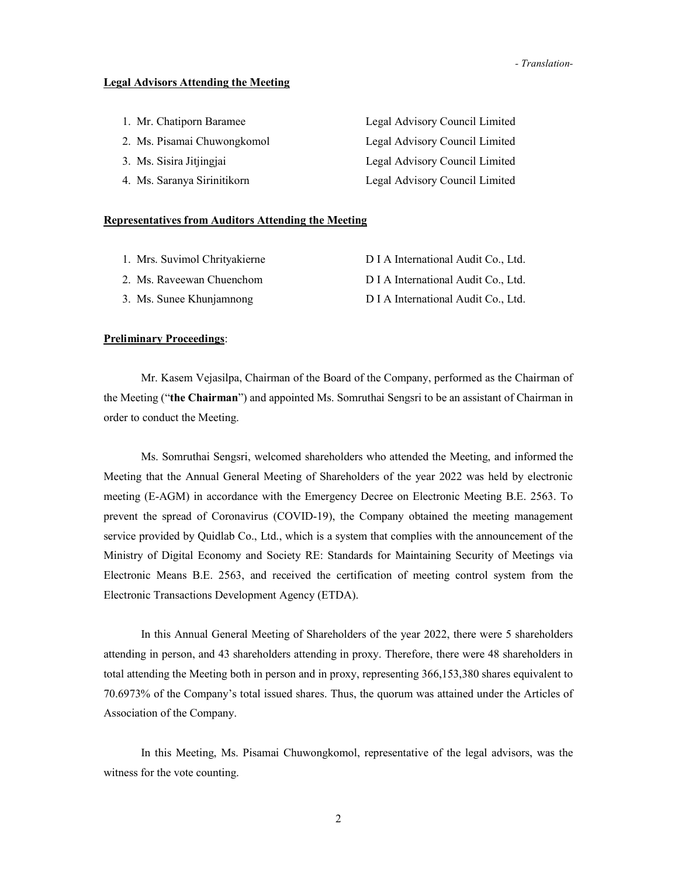#### Legal Advisors Attending the Meeting

| 1. Mr. Chatiporn Baramee    | Legal Advisory Council Limited |
|-----------------------------|--------------------------------|
| 2. Ms. Pisamai Chuwongkomol | Legal Advisory Council Limited |
| 3. Ms. Sisira Jitjingjai    | Legal Advisory Council Limited |
| 4. Ms. Saranya Sirinitikorn | Legal Advisory Council Limited |

#### Representatives from Auditors Attending the Meeting

| 1. Mrs. Suvimol Chrityakierne | D I A International Audit Co., Ltd. |
|-------------------------------|-------------------------------------|
| 2. Ms. Raveewan Chuenchom     | D I A International Audit Co., Ltd. |
| 3. Ms. Sunee Khunjamnong      | D I A International Audit Co., Ltd. |

#### **Preliminary Proceedings:**

 Mr. Kasem Vejasilpa, Chairman of the Board of the Company, performed as the Chairman of the Meeting ("the Chairman") and appointed Ms. Somruthai Sengsri to be an assistant of Chairman in order to conduct the Meeting.

 Ms. Somruthai Sengsri, welcomed shareholders who attended the Meeting, and informed the Meeting that the Annual General Meeting of Shareholders of the year 2022 was held by electronic meeting (E-AGM) in accordance with the Emergency Decree on Electronic Meeting B.E. 2563. To prevent the spread of Coronavirus (COVID-19), the Company obtained the meeting management service provided by Quidlab Co., Ltd., which is a system that complies with the announcement of the Ministry of Digital Economy and Society RE: Standards for Maintaining Security of Meetings via Electronic Means B.E. 2563, and received the certification of meeting control system from the Electronic Transactions Development Agency (ETDA).

In this Annual General Meeting of Shareholders of the year 2022, there were 5 shareholders attending in person, and 43 shareholders attending in proxy. Therefore, there were 48 shareholders in total attending the Meeting both in person and in proxy, representing 366,153,380 shares equivalent to 70.6973% of the Company's total issued shares. Thus, the quorum was attained under the Articles of Association of the Company.

In this Meeting, Ms. Pisamai Chuwongkomol, representative of the legal advisors, was the witness for the vote counting.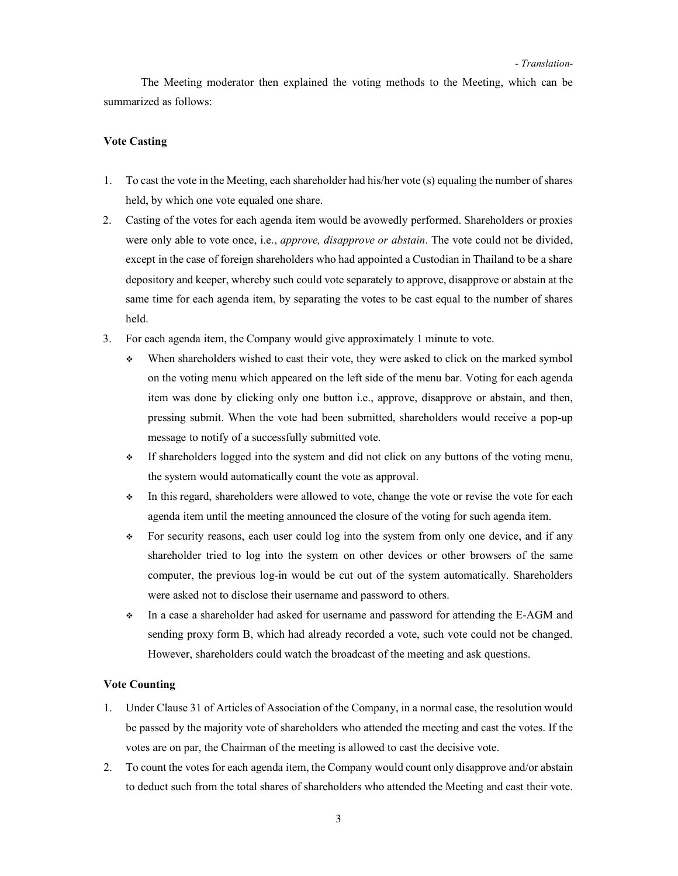The Meeting moderator then explained the voting methods to the Meeting, which can be summarized as follows:

#### Vote Casting

- 1. To cast the vote in the Meeting, each shareholder had his/her vote (s) equaling the number of shares held, by which one vote equaled one share.
- 2. Casting of the votes for each agenda item would be avowedly performed. Shareholders or proxies were only able to vote once, i.e., *approve, disapprove or abstain*. The vote could not be divided, except in the case of foreign shareholders who had appointed a Custodian in Thailand to be a share depository and keeper, whereby such could vote separately to approve, disapprove or abstain at the same time for each agenda item, by separating the votes to be cast equal to the number of shares held.
- 3. For each agenda item, the Company would give approximately 1 minute to vote.
	- When shareholders wished to cast their vote, they were asked to click on the marked symbol on the voting menu which appeared on the left side of the menu bar. Voting for each agenda item was done by clicking only one button i.e., approve, disapprove or abstain, and then, pressing submit. When the vote had been submitted, shareholders would receive a pop-up message to notify of a successfully submitted vote.
	- If shareholders logged into the system and did not click on any buttons of the voting menu, the system would automatically count the vote as approval.
	- In this regard, shareholders were allowed to vote, change the vote or revise the vote for each agenda item until the meeting announced the closure of the voting for such agenda item.
	- For security reasons, each user could log into the system from only one device, and if any shareholder tried to log into the system on other devices or other browsers of the same computer, the previous log-in would be cut out of the system automatically. Shareholders were asked not to disclose their username and password to others.
	- In a case a shareholder had asked for username and password for attending the E-AGM and sending proxy form B, which had already recorded a vote, such vote could not be changed. However, shareholders could watch the broadcast of the meeting and ask questions.

#### Vote Counting

- 1. Under Clause 31 of Articles of Association of the Company, in a normal case, the resolution would be passed by the majority vote of shareholders who attended the meeting and cast the votes. If the votes are on par, the Chairman of the meeting is allowed to cast the decisive vote.
- 2. To count the votes for each agenda item, the Company would count only disapprove and/or abstain to deduct such from the total shares of shareholders who attended the Meeting and cast their vote.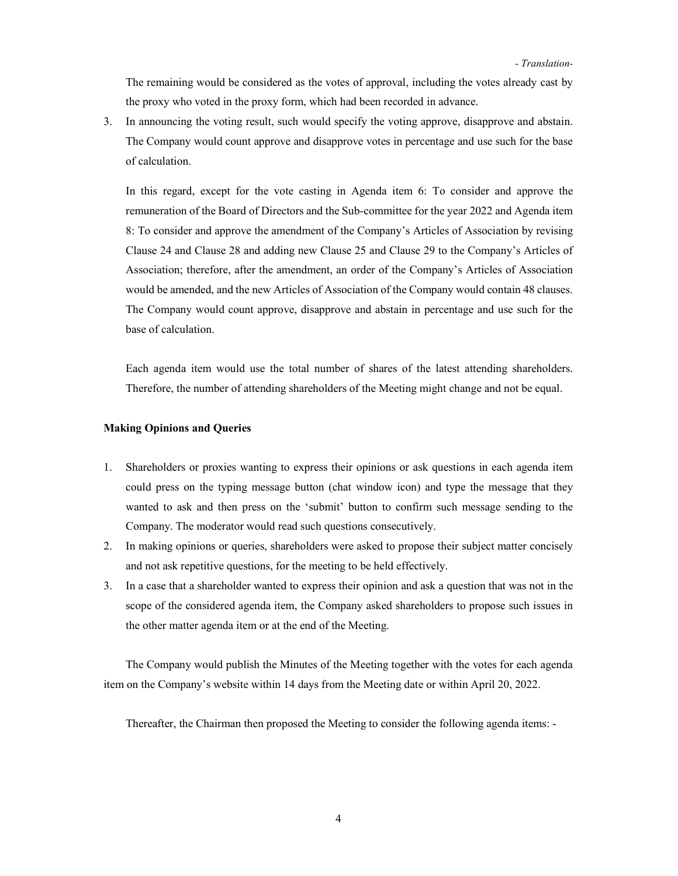The remaining would be considered as the votes of approval, including the votes already cast by the proxy who voted in the proxy form, which had been recorded in advance.

3. In announcing the voting result, such would specify the voting approve, disapprove and abstain. The Company would count approve and disapprove votes in percentage and use such for the base of calculation.

In this regard, except for the vote casting in Agenda item 6: To consider and approve the remuneration of the Board of Directors and the Sub-committee for the year 2022 and Agenda item 8: To consider and approve the amendment of the Company's Articles of Association by revising Clause 24 and Clause 28 and adding new Clause 25 and Clause 29 to the Company's Articles of Association; therefore, after the amendment, an order of the Company's Articles of Association would be amended, and the new Articles of Association of the Company would contain 48 clauses. The Company would count approve, disapprove and abstain in percentage and use such for the base of calculation.

Each agenda item would use the total number of shares of the latest attending shareholders. Therefore, the number of attending shareholders of the Meeting might change and not be equal.

#### Making Opinions and Queries

- 1. Shareholders or proxies wanting to express their opinions or ask questions in each agenda item could press on the typing message button (chat window icon) and type the message that they wanted to ask and then press on the 'submit' button to confirm such message sending to the Company. The moderator would read such questions consecutively.
- 2. In making opinions or queries, shareholders were asked to propose their subject matter concisely and not ask repetitive questions, for the meeting to be held effectively.
- 3. In a case that a shareholder wanted to express their opinion and ask a question that was not in the scope of the considered agenda item, the Company asked shareholders to propose such issues in the other matter agenda item or at the end of the Meeting.

The Company would publish the Minutes of the Meeting together with the votes for each agenda item on the Company's website within 14 days from the Meeting date or within April 20, 2022.

Thereafter, the Chairman then proposed the Meeting to consider the following agenda items: -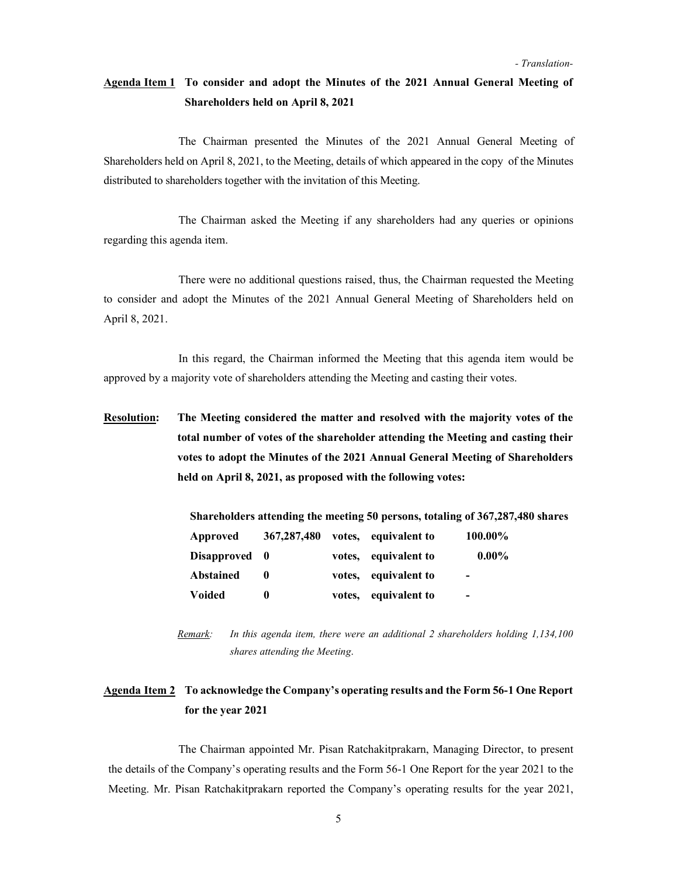# Agenda Item 1 To consider and adopt the Minutes of the 2021 Annual General Meeting of Shareholders held on April 8, 2021

 The Chairman presented the Minutes of the 2021 Annual General Meeting of Shareholders held on April 8, 2021, to the Meeting, details of which appeared in the copy of the Minutes distributed to shareholders together with the invitation of this Meeting.

 The Chairman asked the Meeting if any shareholders had any queries or opinions regarding this agenda item.

 There were no additional questions raised, thus, the Chairman requested the Meeting to consider and adopt the Minutes of the 2021 Annual General Meeting of Shareholders held on April 8, 2021.

 In this regard, the Chairman informed the Meeting that this agenda item would be approved by a majority vote of shareholders attending the Meeting and casting their votes.

Resolution: The Meeting considered the matter and resolved with the majority votes of the total number of votes of the shareholder attending the Meeting and casting their votes to adopt the Minutes of the 2021 Annual General Meeting of Shareholders held on April 8, 2021, as proposed with the following votes:

| Shareholders attending the meeting 50 persons, totaling of 367,287,480 shares |               |        |                      |                          |  |  |  |
|-------------------------------------------------------------------------------|---------------|--------|----------------------|--------------------------|--|--|--|
| Approved                                                                      | 367, 287, 480 |        | votes, equivalent to | 100.00%                  |  |  |  |
| Disapproved 0                                                                 |               | votes. | equivalent to        | $0.00\%$                 |  |  |  |
| <b>Abstained</b>                                                              | $\mathbf 0$   | votes. | equivalent to        | $\overline{\phantom{0}}$ |  |  |  |
| Voided                                                                        | 0             | votes. | equivalent to        | $\overline{\phantom{0}}$ |  |  |  |

Remark: In this agenda item, there were an additional 2 shareholders holding 1,134,100 shares attending the Meeting.

### Agenda Item 2 To acknowledge the Company's operating results and the Form 56-1 One Report for the year 2021

 The Chairman appointed Mr. Pisan Ratchakitprakarn, Managing Director, to present the details of the Company's operating results and the Form 56-1 One Report for the year 2021 to the Meeting. Mr. Pisan Ratchakitprakarn reported the Company's operating results for the year 2021,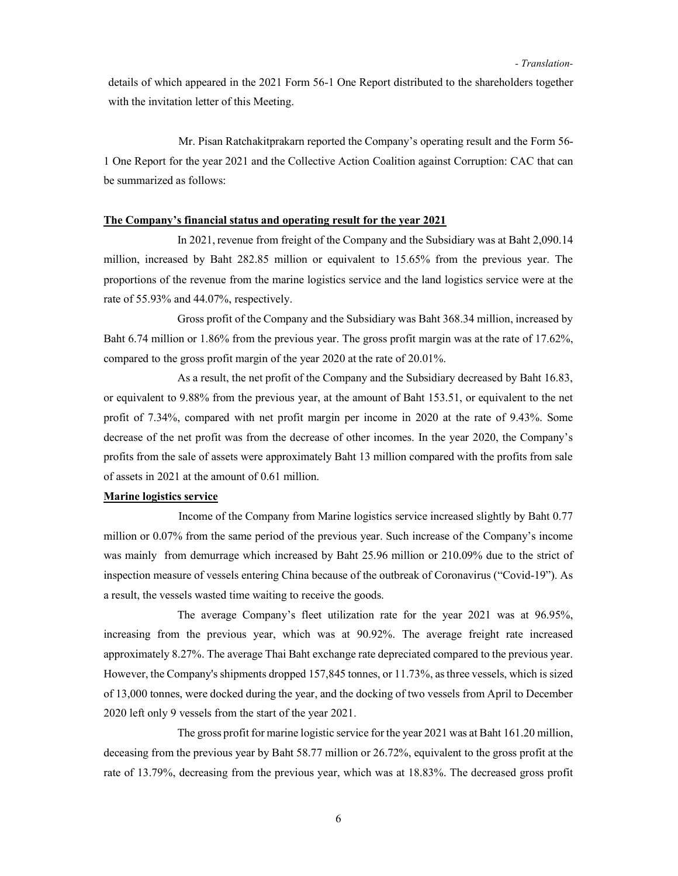details of which appeared in the 2021 Form 56-1 One Report distributed to the shareholders together with the invitation letter of this Meeting.

 Mr. Pisan Ratchakitprakarn reported the Company's operating result and the Form 56- 1 One Report for the year 2021 and the Collective Action Coalition against Corruption: CAC that can be summarized as follows:

#### The Company's financial status and operating result for the year 2021

In 2021, revenue from freight of the Company and the Subsidiary was at Baht 2,090.14 million, increased by Baht 282.85 million or equivalent to 15.65% from the previous year. The proportions of the revenue from the marine logistics service and the land logistics service were at the rate of 55.93% and 44.07%, respectively.

Gross profit of the Company and the Subsidiary was Baht 368.34 million, increased by Baht 6.74 million or 1.86% from the previous year. The gross profit margin was at the rate of 17.62%, compared to the gross profit margin of the year 2020 at the rate of 20.01%.

As a result, the net profit of the Company and the Subsidiary decreased by Baht 16.83, or equivalent to 9.88% from the previous year, at the amount of Baht 153.51, or equivalent to the net profit of 7.34%, compared with net profit margin per income in 2020 at the rate of 9.43%. Some decrease of the net profit was from the decrease of other incomes. In the year 2020, the Company's profits from the sale of assets were approximately Baht 13 million compared with the profits from sale of assets in 2021 at the amount of 0.61 million.

#### Marine logistics service

 Income of the Company from Marine logistics service increased slightly by Baht 0.77 million or 0.07% from the same period of the previous year. Such increase of the Company's income was mainly from demurrage which increased by Baht 25.96 million or 210.09% due to the strict of inspection measure of vessels entering China because of the outbreak of Coronavirus ("Covid-19"). As a result, the vessels wasted time waiting to receive the goods.

The average Company's fleet utilization rate for the year 2021 was at 96.95%, increasing from the previous year, which was at 90.92%. The average freight rate increased approximately 8.27%. The average Thai Baht exchange rate depreciated compared to the previous year. However, the Company's shipments dropped 157,845 tonnes, or 11.73%, as three vessels, which is sized of 13,000 tonnes, were docked during the year, and the docking of two vessels from April to December 2020 left only 9 vessels from the start of the year 2021.

The gross profit for marine logistic service for the year 2021 was at Baht 161.20 million, deceasing from the previous year by Baht 58.77 million or 26.72%, equivalent to the gross profit at the rate of 13.79%, decreasing from the previous year, which was at 18.83%. The decreased gross profit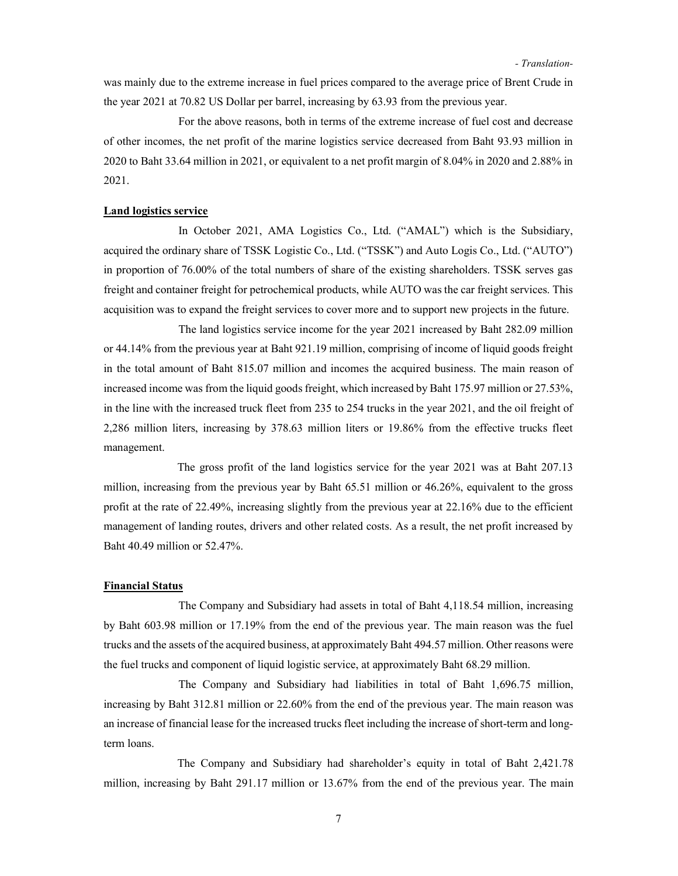was mainly due to the extreme increase in fuel prices compared to the average price of Brent Crude in the year 2021 at 70.82 US Dollar per barrel, increasing by 63.93 from the previous year.

 For the above reasons, both in terms of the extreme increase of fuel cost and decrease of other incomes, the net profit of the marine logistics service decreased from Baht 93.93 million in 2020 to Baht 33.64 million in 2021, or equivalent to a net profit margin of 8.04% in 2020 and 2.88% in 2021.

#### Land logistics service

In October 2021, AMA Logistics Co., Ltd. ("AMAL") which is the Subsidiary, acquired the ordinary share of TSSK Logistic Co., Ltd. ("TSSK") and Auto Logis Co., Ltd. ("AUTO") in proportion of 76.00% of the total numbers of share of the existing shareholders. TSSK serves gas freight and container freight for petrochemical products, while AUTO was the car freight services. This acquisition was to expand the freight services to cover more and to support new projects in the future.

 The land logistics service income for the year 2021 increased by Baht 282.09 million or 44.14% from the previous year at Baht 921.19 million, comprising of income of liquid goods freight in the total amount of Baht 815.07 million and incomes the acquired business. The main reason of increased income was from the liquid goods freight, which increased by Baht 175.97 million or 27.53%, in the line with the increased truck fleet from 235 to 254 trucks in the year 2021, and the oil freight of 2,286 million liters, increasing by 378.63 million liters or 19.86% from the effective trucks fleet management.

The gross profit of the land logistics service for the year 2021 was at Baht 207.13 million, increasing from the previous year by Baht 65.51 million or 46.26%, equivalent to the gross profit at the rate of 22.49%, increasing slightly from the previous year at 22.16% due to the efficient management of landing routes, drivers and other related costs. As a result, the net profit increased by Baht 40.49 million or 52.47%.

#### Financial Status

 The Company and Subsidiary had assets in total of Baht 4,118.54 million, increasing by Baht 603.98 million or 17.19% from the end of the previous year. The main reason was the fuel trucks and the assets of the acquired business, at approximately Baht 494.57 million. Other reasons were the fuel trucks and component of liquid logistic service, at approximately Baht 68.29 million.

The Company and Subsidiary had liabilities in total of Baht 1,696.75 million, increasing by Baht 312.81 million or 22.60% from the end of the previous year. The main reason was an increase of financial lease for the increased trucks fleet including the increase of short-term and longterm loans.

The Company and Subsidiary had shareholder's equity in total of Baht 2,421.78 million, increasing by Baht 291.17 million or 13.67% from the end of the previous year. The main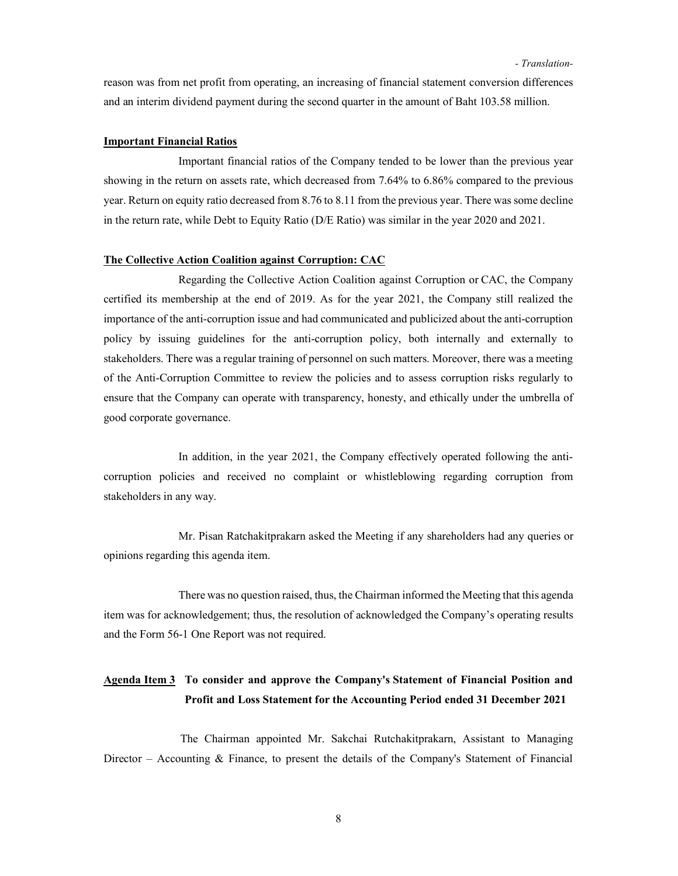reason was from net profit from operating, an increasing of financial statement conversion differences and an interim dividend payment during the second quarter in the amount of Baht 103.58 million.

#### Important Financial Ratios

 Important financial ratios of the Company tended to be lower than the previous year showing in the return on assets rate, which decreased from 7.64% to 6.86% compared to the previous year. Return on equity ratio decreased from 8.76 to 8.11 from the previous year. There was some decline in the return rate, while Debt to Equity Ratio (D/E Ratio) was similar in the year 2020 and 2021.

#### The Collective Action Coalition against Corruption: CAC

 Regarding the Collective Action Coalition against Corruption or CAC, the Company certified its membership at the end of 2019. As for the year 2021, the Company still realized the importance of the anti-corruption issue and had communicated and publicized about the anti-corruption policy by issuing guidelines for the anti-corruption policy, both internally and externally to stakeholders. There was a regular training of personnel on such matters. Moreover, there was a meeting of the Anti-Corruption Committee to review the policies and to assess corruption risks regularly to ensure that the Company can operate with transparency, honesty, and ethically under the umbrella of good corporate governance.

 In addition, in the year 2021, the Company effectively operated following the anticorruption policies and received no complaint or whistleblowing regarding corruption from stakeholders in any way.

 Mr. Pisan Ratchakitprakarn asked the Meeting if any shareholders had any queries or opinions regarding this agenda item.

 There was no question raised, thus, the Chairman informed the Meeting that this agenda item was for acknowledgement; thus, the resolution of acknowledged the Company's operating results and the Form 56-1 One Report was not required.

# Agenda Item 3 To consider and approve the Company's Statement of Financial Position and Profit and Loss Statement for the Accounting Period ended 31 December 2021

 The Chairman appointed Mr. Sakchai Rutchakitprakarn, Assistant to Managing Director – Accounting  $\&$  Finance, to present the details of the Company's Statement of Financial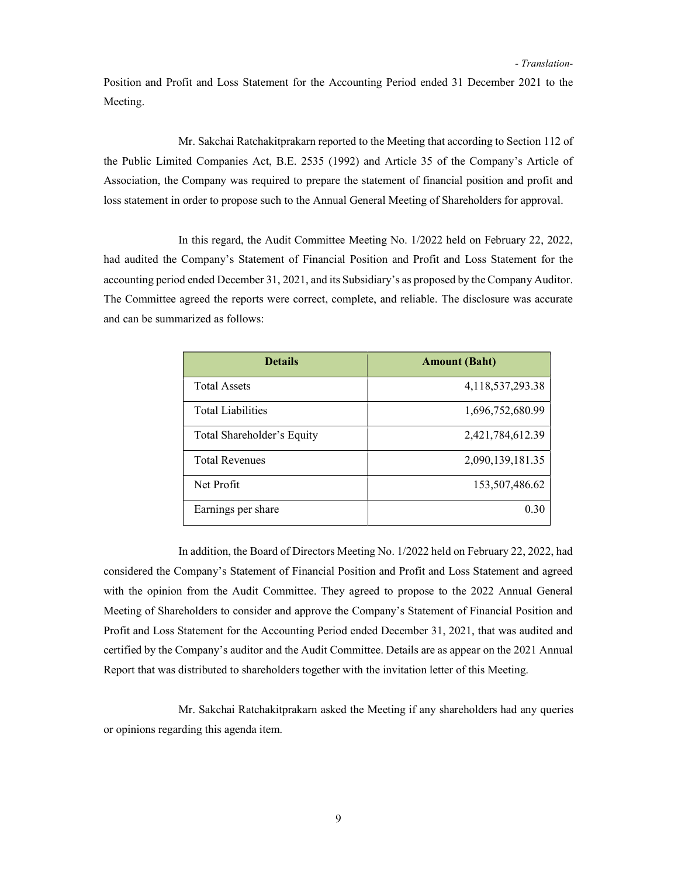Position and Profit and Loss Statement for the Accounting Period ended 31 December 2021 to the Meeting.

 Mr. Sakchai Ratchakitprakarn reported to the Meeting that according to Section 112 of the Public Limited Companies Act, B.E. 2535 (1992) and Article 35 of the Company's Article of Association, the Company was required to prepare the statement of financial position and profit and loss statement in order to propose such to the Annual General Meeting of Shareholders for approval.

 In this regard, the Audit Committee Meeting No. 1/2022 held on February 22, 2022, had audited the Company's Statement of Financial Position and Profit and Loss Statement for the accounting period ended December 31, 2021, and its Subsidiary's as proposed by the Company Auditor. The Committee agreed the reports were correct, complete, and reliable. The disclosure was accurate and can be summarized as follows:

| <b>Details</b>             | <b>Amount (Baht)</b> |
|----------------------------|----------------------|
| <b>Total Assets</b>        | 4,118,537,293.38     |
| <b>Total Liabilities</b>   | 1,696,752,680.99     |
| Total Shareholder's Equity | 2,421,784,612.39     |
| <b>Total Revenues</b>      | 2,090,139,181.35     |
| Net Profit                 | 153,507,486.62       |
| Earnings per share         | 0.30                 |

 In addition, the Board of Directors Meeting No. 1/2022 held on February 22, 2022, had considered the Company's Statement of Financial Position and Profit and Loss Statement and agreed with the opinion from the Audit Committee. They agreed to propose to the 2022 Annual General Meeting of Shareholders to consider and approve the Company's Statement of Financial Position and Profit and Loss Statement for the Accounting Period ended December 31, 2021, that was audited and certified by the Company's auditor and the Audit Committee. Details are as appear on the 2021 Annual Report that was distributed to shareholders together with the invitation letter of this Meeting.

 Mr. Sakchai Ratchakitprakarn asked the Meeting if any shareholders had any queries or opinions regarding this agenda item.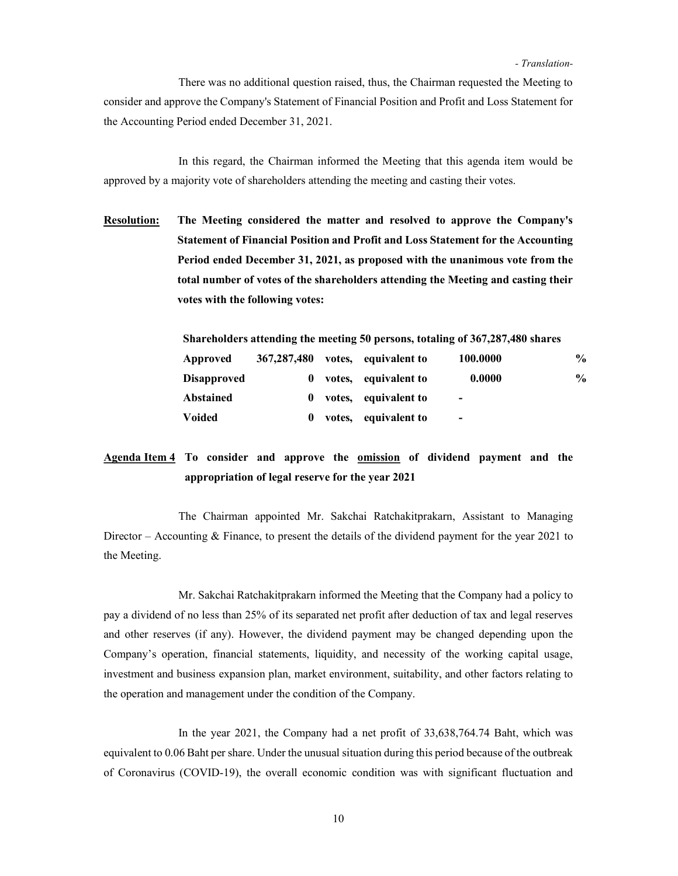There was no additional question raised, thus, the Chairman requested the Meeting to consider and approve the Company's Statement of Financial Position and Profit and Loss Statement for the Accounting Period ended December 31, 2021.

 In this regard, the Chairman informed the Meeting that this agenda item would be approved by a majority vote of shareholders attending the meeting and casting their votes.

Resolution: The Meeting considered the matter and resolved to approve the Company's Statement of Financial Position and Profit and Loss Statement for the Accounting Period ended December 31, 2021, as proposed with the unanimous vote from the total number of votes of the shareholders attending the Meeting and casting their votes with the following votes:

| Shareholders attending the meeting 50 persons, totaling of 367,287,480 shares |               |        |                      |                          |               |  |  |
|-------------------------------------------------------------------------------|---------------|--------|----------------------|--------------------------|---------------|--|--|
| Approved                                                                      | 367, 287, 480 |        | votes, equivalent to | 100.0000                 | $\frac{0}{0}$ |  |  |
| <b>Disapproved</b>                                                            | $\mathbf{0}$  | votes, | equivalent to        | 0.0000                   | $\frac{1}{2}$ |  |  |
| <b>Abstained</b>                                                              | $\mathbf{0}$  | votes, | equivalent to        | $\overline{\phantom{0}}$ |               |  |  |
| <b>Voided</b>                                                                 | 0             | votes, | equivalent to        | $\overline{\phantom{0}}$ |               |  |  |

# Agenda Item 4 To consider and approve the omission of dividend payment and the appropriation of legal reserve for the year 2021

 The Chairman appointed Mr. Sakchai Ratchakitprakarn, Assistant to Managing Director – Accounting  $&$  Finance, to present the details of the dividend payment for the year 2021 to the Meeting.

 Mr. Sakchai Ratchakitprakarn informed the Meeting that the Company had a policy to pay a dividend of no less than 25% of its separated net profit after deduction of tax and legal reserves and other reserves (if any). However, the dividend payment may be changed depending upon the Company's operation, financial statements, liquidity, and necessity of the working capital usage, investment and business expansion plan, market environment, suitability, and other factors relating to the operation and management under the condition of the Company.

In the year 2021, the Company had a net profit of 33,638,764.74 Baht, which was equivalent to 0.06 Baht per share. Under the unusual situation during this period because of the outbreak of Coronavirus (COVID-19), the overall economic condition was with significant fluctuation and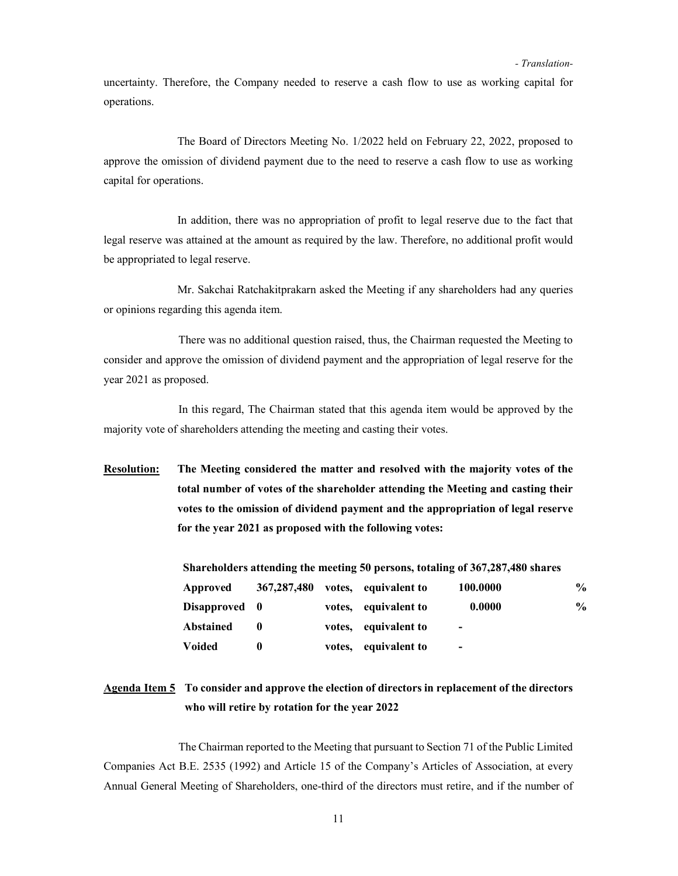uncertainty. Therefore, the Company needed to reserve a cash flow to use as working capital for operations.

The Board of Directors Meeting No. 1/2022 held on February 22, 2022, proposed to approve the omission of dividend payment due to the need to reserve a cash flow to use as working capital for operations.

In addition, there was no appropriation of profit to legal reserve due to the fact that legal reserve was attained at the amount as required by the law. Therefore, no additional profit would be appropriated to legal reserve.

Mr. Sakchai Ratchakitprakarn asked the Meeting if any shareholders had any queries or opinions regarding this agenda item.

 There was no additional question raised, thus, the Chairman requested the Meeting to consider and approve the omission of dividend payment and the appropriation of legal reserve for the year 2021 as proposed.

 In this regard, The Chairman stated that this agenda item would be approved by the majority vote of shareholders attending the meeting and casting their votes.

Resolution: The Meeting considered the matter and resolved with the majority votes of the total number of votes of the shareholder attending the Meeting and casting their votes to the omission of dividend payment and the appropriation of legal reserve for the year 2021 as proposed with the following votes:

Shareholders attending the meeting 50 persons, totaling of 367,287,480 shares

| Approved      | 367,287,480 | votes, equivalent to | 100.0000                 | $\frac{0}{0}$ |
|---------------|-------------|----------------------|--------------------------|---------------|
| Disapproved 0 |             | votes, equivalent to | 0.0000                   | $\frac{0}{0}$ |
| Abstained     |             | votes, equivalent to | $\overline{\phantom{0}}$ |               |
| <b>Voided</b> |             | votes, equivalent to | $\overline{\phantom{0}}$ |               |

# Agenda Item 5 To consider and approve the election of directors in replacement of the directors who will retire by rotation for the year 2022

 The Chairman reported to the Meeting that pursuant to Section 71 of the Public Limited Companies Act B.E. 2535 (1992) and Article 15 of the Company's Articles of Association, at every Annual General Meeting of Shareholders, one-third of the directors must retire, and if the number of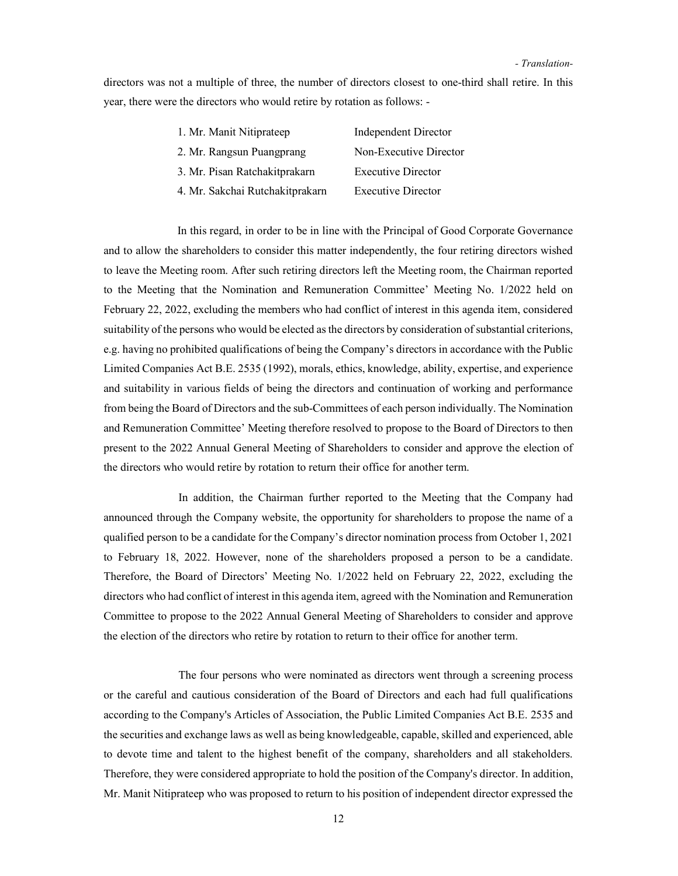directors was not a multiple of three, the number of directors closest to one-third shall retire. In this year, there were the directors who would retire by rotation as follows: -

| 1. Mr. Manit Nitiprateep        | <b>Independent Director</b> |
|---------------------------------|-----------------------------|
| 2. Mr. Rangsun Puangprang       | Non-Executive Director      |
| 3. Mr. Pisan Ratchakitprakarn   | <b>Executive Director</b>   |
| 4. Mr. Sakchai Rutchakitprakarn | <b>Executive Director</b>   |

In this regard, in order to be in line with the Principal of Good Corporate Governance and to allow the shareholders to consider this matter independently, the four retiring directors wished to leave the Meeting room. After such retiring directors left the Meeting room, the Chairman reported to the Meeting that the Nomination and Remuneration Committee' Meeting No. 1/2022 held on February 22, 2022, excluding the members who had conflict of interest in this agenda item, considered suitability of the persons who would be elected as the directors by consideration of substantial criterions, e.g. having no prohibited qualifications of being the Company's directors in accordance with the Public Limited Companies Act B.E. 2535 (1992), morals, ethics, knowledge, ability, expertise, and experience and suitability in various fields of being the directors and continuation of working and performance from being the Board of Directors and the sub-Committees of each person individually. The Nomination and Remuneration Committee' Meeting therefore resolved to propose to the Board of Directors to then present to the 2022 Annual General Meeting of Shareholders to consider and approve the election of the directors who would retire by rotation to return their office for another term.

 In addition, the Chairman further reported to the Meeting that the Company had announced through the Company website, the opportunity for shareholders to propose the name of a qualified person to be a candidate for the Company's director nomination process from October 1, 2021 to February 18, 2022. However, none of the shareholders proposed a person to be a candidate. Therefore, the Board of Directors' Meeting No. 1/2022 held on February 22, 2022, excluding the directors who had conflict of interest in this agenda item, agreed with the Nomination and Remuneration Committee to propose to the 2022 Annual General Meeting of Shareholders to consider and approve the election of the directors who retire by rotation to return to their office for another term.

 The four persons who were nominated as directors went through a screening process or the careful and cautious consideration of the Board of Directors and each had full qualifications according to the Company's Articles of Association, the Public Limited Companies Act B.E. 2535 and the securities and exchange laws as well as being knowledgeable, capable, skilled and experienced, able to devote time and talent to the highest benefit of the company, shareholders and all stakeholders. Therefore, they were considered appropriate to hold the position of the Company's director. In addition, Mr. Manit Nitiprateep who was proposed to return to his position of independent director expressed the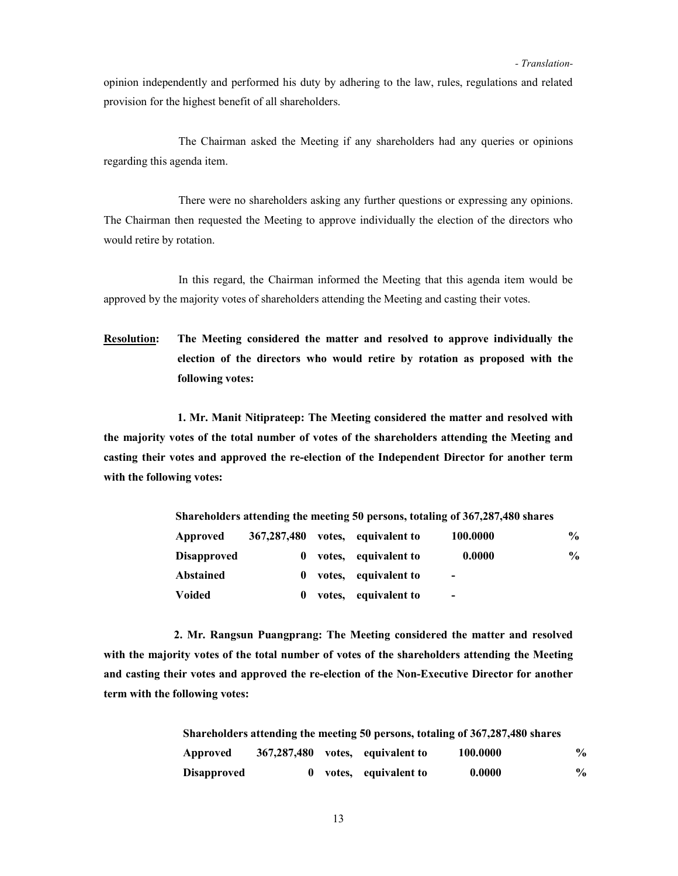opinion independently and performed his duty by adhering to the law, rules, regulations and related provision for the highest benefit of all shareholders.

 The Chairman asked the Meeting if any shareholders had any queries or opinions regarding this agenda item.

 There were no shareholders asking any further questions or expressing any opinions. The Chairman then requested the Meeting to approve individually the election of the directors who would retire by rotation.

 In this regard, the Chairman informed the Meeting that this agenda item would be approved by the majority votes of shareholders attending the Meeting and casting their votes.

Resolution: The Meeting considered the matter and resolved to approve individually the election of the directors who would retire by rotation as proposed with the following votes:

1. Mr. Manit Nitiprateep: The Meeting considered the matter and resolved with the majority votes of the total number of votes of the shareholders attending the Meeting and casting their votes and approved the re-election of the Independent Director for another term with the following votes:

| Shareholders attending the meeting 50 persons, totaling of 367,287,480 shares |          |        |                      |                          |                |  |  |
|-------------------------------------------------------------------------------|----------|--------|----------------------|--------------------------|----------------|--|--|
| 367, 287, 480<br>100.0000<br>votes, equivalent to<br>Approved                 |          |        |                      |                          | $\frac{6}{10}$ |  |  |
| <b>Disapproved</b>                                                            | $\bf{0}$ |        | votes, equivalent to | 0.0000                   | $\frac{1}{2}$  |  |  |
| Abstained                                                                     | $\bf{0}$ |        | votes, equivalent to | $\overline{\phantom{0}}$ |                |  |  |
| <b>Voided</b>                                                                 | 0        | votes, | equivalent to        | $\overline{\phantom{0}}$ |                |  |  |

2. Mr. Rangsun Puangprang: The Meeting considered the matter and resolved with the majority votes of the total number of votes of the shareholders attending the Meeting and casting their votes and approved the re-election of the Non-Executive Director for another term with the following votes:

| Shareholders attending the meeting 50 persons, totaling of 367,287,480 shares |  |  |                                  |          |               |  |  |  |
|-------------------------------------------------------------------------------|--|--|----------------------------------|----------|---------------|--|--|--|
| Approved                                                                      |  |  | 367,287,480 votes, equivalent to | 100.0000 | $\frac{0}{0}$ |  |  |  |
| <b>Disapproved</b>                                                            |  |  | votes, equivalent to             | 0.0000   | $\frac{0}{0}$ |  |  |  |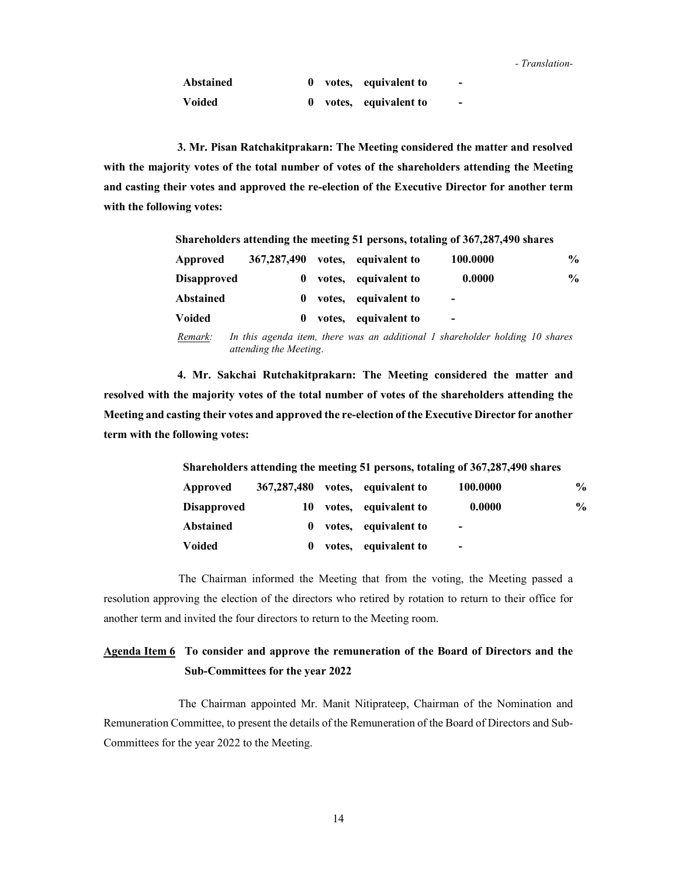| Abstained |  | 0 votes, equivalent to |  |
|-----------|--|------------------------|--|
| Voided    |  | 0 votes, equivalent to |  |

3. Mr. Pisan Ratchakitprakarn: The Meeting considered the matter and resolved with the majority votes of the total number of votes of the shareholders attending the Meeting and casting their votes and approved the re-election of the Executive Director for another term with the following votes:

|                    |               |        |                      | Shareholders attending the meeting 51 persons, totaling of 367,287,490 shares |                |
|--------------------|---------------|--------|----------------------|-------------------------------------------------------------------------------|----------------|
| Approved           | 367, 287, 490 |        | votes, equivalent to | 100.0000                                                                      | $\frac{6}{10}$ |
| <b>Disapproved</b> | $\mathbf{0}$  |        | votes, equivalent to | 0.0000                                                                        | $\frac{0}{0}$  |
| <b>Abstained</b>   | $\bf{0}$      |        | votes, equivalent to | $\overline{\phantom{0}}$                                                      |                |
| Voided             | $\mathbf{0}$  | votes, | equivalent to        | $\overline{\phantom{0}}$                                                      |                |
|                    |               |        |                      |                                                                               |                |

Remark: In this agenda item, there was an additional 1 shareholder holding 10 shares attending the Meeting.

4. Mr. Sakchai Rutchakitprakarn: The Meeting considered the matter and resolved with the majority votes of the total number of votes of the shareholders attending the Meeting and casting their votes and approved the re-election of the Executive Director for another term with the following votes:

| Shareholders attending the meeting 51 persons, totaling of 367,287,490 shares |               |        |                      |                          |                |  |  |  |
|-------------------------------------------------------------------------------|---------------|--------|----------------------|--------------------------|----------------|--|--|--|
| Approved                                                                      | 367, 287, 480 |        | votes, equivalent to | 100.0000                 | $\frac{6}{10}$ |  |  |  |
| <b>Disapproved</b>                                                            | 10            |        | votes, equivalent to | 0.0000                   | $\frac{0}{0}$  |  |  |  |
| Abstained                                                                     | $\bf{0}$      |        | votes, equivalent to | $\overline{\phantom{0}}$ |                |  |  |  |
| Voided                                                                        | $\mathbf{0}$  | votes, | equivalent to        | $\overline{\phantom{0}}$ |                |  |  |  |

 The Chairman informed the Meeting that from the voting, the Meeting passed a resolution approving the election of the directors who retired by rotation to return to their office for another term and invited the four directors to return to the Meeting room.

### Agenda Item 6 To consider and approve the remuneration of the Board of Directors and the Sub-Committees for the year 2022

 The Chairman appointed Mr. Manit Nitiprateep, Chairman of the Nomination and Remuneration Committee, to present the details of the Remuneration of the Board of Directors and Sub-Committees for the year 2022 to the Meeting.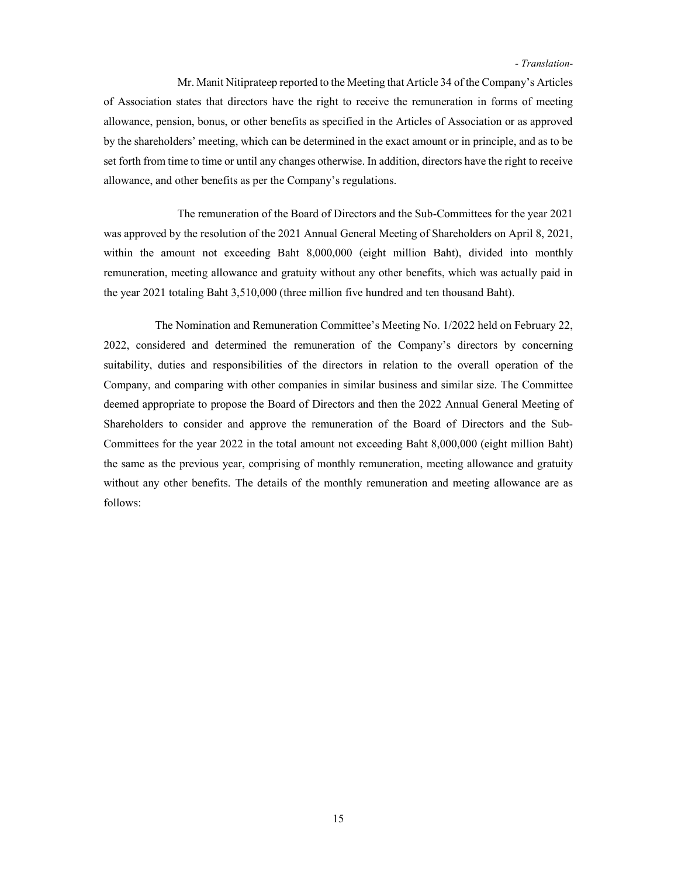Mr. Manit Nitiprateep reported to the Meeting that Article 34 of the Company's Articles of Association states that directors have the right to receive the remuneration in forms of meeting allowance, pension, bonus, or other benefits as specified in the Articles of Association or as approved by the shareholders' meeting, which can be determined in the exact amount or in principle, and as to be set forth from time to time or until any changes otherwise. In addition, directors have the right to receive allowance, and other benefits as per the Company's regulations.

The remuneration of the Board of Directors and the Sub-Committees for the year 2021 was approved by the resolution of the 2021 Annual General Meeting of Shareholders on April 8, 2021, within the amount not exceeding Baht 8,000,000 (eight million Baht), divided into monthly remuneration, meeting allowance and gratuity without any other benefits, which was actually paid in the year 2021 totaling Baht 3,510,000 (three million five hundred and ten thousand Baht).

The Nomination and Remuneration Committee's Meeting No. 1/2022 held on February 22, 2022, considered and determined the remuneration of the Company's directors by concerning suitability, duties and responsibilities of the directors in relation to the overall operation of the Company, and comparing with other companies in similar business and similar size. The Committee deemed appropriate to propose the Board of Directors and then the 2022 Annual General Meeting of Shareholders to consider and approve the remuneration of the Board of Directors and the Sub-Committees for the year 2022 in the total amount not exceeding Baht 8,000,000 (eight million Baht) the same as the previous year, comprising of monthly remuneration, meeting allowance and gratuity without any other benefits. The details of the monthly remuneration and meeting allowance are as follows: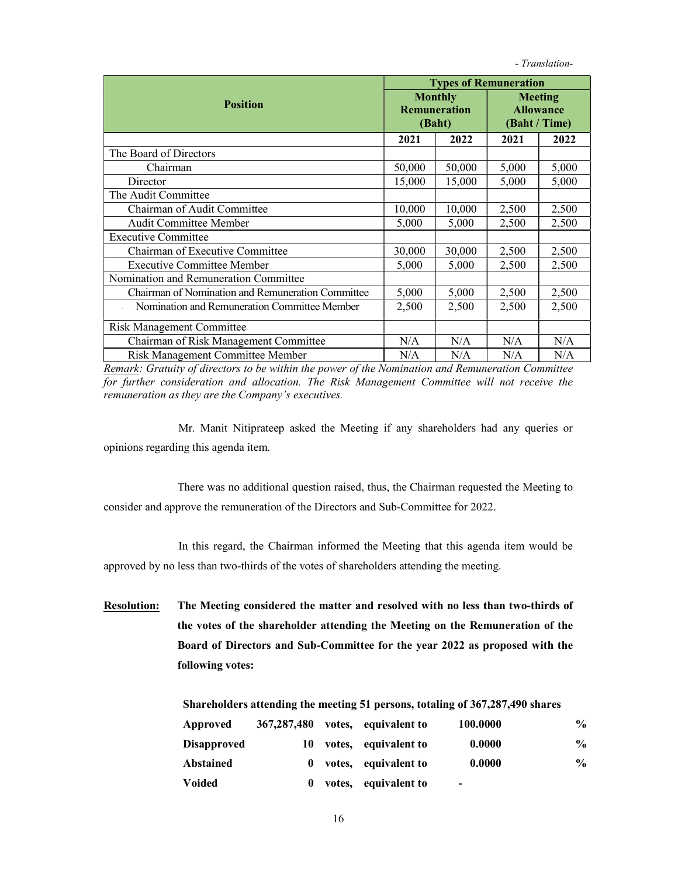|                                                   | <b>Types of Remuneration</b> |                                                 |                                                     |       |  |  |
|---------------------------------------------------|------------------------------|-------------------------------------------------|-----------------------------------------------------|-------|--|--|
| <b>Position</b>                                   |                              | <b>Monthly</b><br><b>Remuneration</b><br>(Baht) | <b>Meeting</b><br><b>Allowance</b><br>(Baht / Time) |       |  |  |
|                                                   | 2021                         | 2022                                            | 2021                                                | 2022  |  |  |
| The Board of Directors                            |                              |                                                 |                                                     |       |  |  |
| Chairman                                          | 50,000                       | 50,000                                          | 5,000                                               | 5,000 |  |  |
| Director                                          | 15,000                       | 15,000                                          | 5,000                                               | 5,000 |  |  |
| The Audit Committee                               |                              |                                                 |                                                     |       |  |  |
| Chairman of Audit Committee                       | 10,000                       | 10,000                                          | 2,500                                               | 2,500 |  |  |
| <b>Audit Committee Member</b>                     | 5,000                        | 5,000                                           | 2,500                                               | 2,500 |  |  |
| <b>Executive Committee</b>                        |                              |                                                 |                                                     |       |  |  |
| Chairman of Executive Committee                   | 30,000                       | 30,000                                          | 2,500                                               | 2,500 |  |  |
| <b>Executive Committee Member</b>                 | 5,000                        | 5,000                                           | 2,500                                               | 2,500 |  |  |
| Nomination and Remuneration Committee             |                              |                                                 |                                                     |       |  |  |
| Chairman of Nomination and Remuneration Committee | 5,000                        | 5,000                                           | 2,500                                               | 2,500 |  |  |
| Nomination and Remuneration Committee Member      | 2,500                        | 2,500                                           | 2,500                                               | 2,500 |  |  |
| <b>Risk Management Committee</b>                  |                              |                                                 |                                                     |       |  |  |
| Chairman of Risk Management Committee             | N/A                          | N/A                                             | N/A                                                 | N/A   |  |  |
| Risk Management Committee Member                  | N/A                          | N/A                                             | N/A                                                 | N/A   |  |  |

Remark: Gratuity of directors to be within the power of the Nomination and Remuneration Committee for further consideration and allocation. The Risk Management Committee will not receive the remuneration as they are the Company's executives.

 Mr. Manit Nitiprateep asked the Meeting if any shareholders had any queries or opinions regarding this agenda item.

There was no additional question raised, thus, the Chairman requested the Meeting to consider and approve the remuneration of the Directors and Sub-Committee for 2022.

 In this regard, the Chairman informed the Meeting that this agenda item would be approved by no less than two-thirds of the votes of shareholders attending the meeting.

Resolution: The Meeting considered the matter and resolved with no less than two-thirds of the votes of the shareholder attending the Meeting on the Remuneration of the Board of Directors and Sub-Committee for the year 2022 as proposed with the following votes:

|  | Shareholders attending the meeting 51 persons, totaling of 367,287,490 shares |
|--|-------------------------------------------------------------------------------|
|  |                                                                               |

| Approved           | 367,287,480 | votes, equivalent to | 100.0000       | $\frac{1}{2}$ |
|--------------------|-------------|----------------------|----------------|---------------|
| <b>Disapproved</b> | 10          | votes, equivalent to | 0.0000         | $\frac{0}{0}$ |
| Abstained          | $\bf{0}$    | votes, equivalent to | 0.0000         | $\frac{0}{0}$ |
| <b>Voided</b>      | 0           | votes, equivalent to | $\blacksquare$ |               |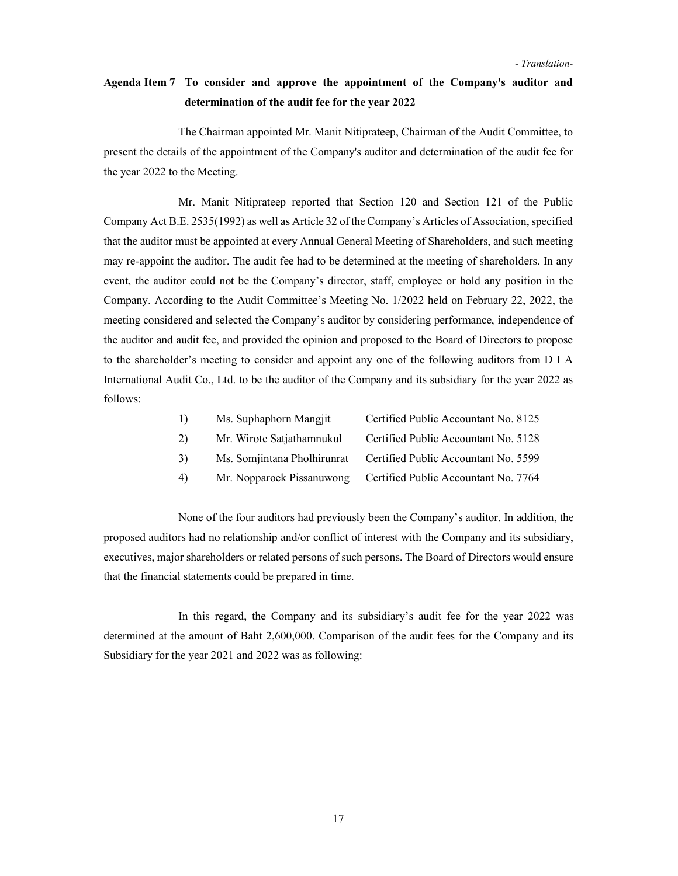### Agenda Item 7 To consider and approve the appointment of the Company's auditor and determination of the audit fee for the year 2022

 The Chairman appointed Mr. Manit Nitiprateep, Chairman of the Audit Committee, to present the details of the appointment of the Company's auditor and determination of the audit fee for the year 2022 to the Meeting.

 Mr. Manit Nitiprateep reported that Section 120 and Section 121 of the Public Company Act B.E. 2535(1992) as well as Article 32 of the Company's Articles of Association, specified that the auditor must be appointed at every Annual General Meeting of Shareholders, and such meeting may re-appoint the auditor. The audit fee had to be determined at the meeting of shareholders. In any event, the auditor could not be the Company's director, staff, employee or hold any position in the Company. According to the Audit Committee's Meeting No. 1/2022 held on February 22, 2022, the meeting considered and selected the Company's auditor by considering performance, independence of the auditor and audit fee, and provided the opinion and proposed to the Board of Directors to propose to the shareholder's meeting to consider and appoint any one of the following auditors from D I A International Audit Co., Ltd. to be the auditor of the Company and its subsidiary for the year 2022 as follows:

| 1) | Ms. Suphaphorn Mangjit    | Certified Public Accountant No. 8125                             |
|----|---------------------------|------------------------------------------------------------------|
| 2) | Mr. Wirote Satjathamnukul | Certified Public Accountant No. 5128                             |
| 3) |                           | Ms. Somjintana Pholhirunrat Certified Public Accountant No. 5599 |
| 4) | Mr. Nopparoek Pissanuwong | Certified Public Accountant No. 7764                             |

None of the four auditors had previously been the Company's auditor. In addition, the proposed auditors had no relationship and/or conflict of interest with the Company and its subsidiary, executives, major shareholders or related persons of such persons. The Board of Directors would ensure that the financial statements could be prepared in time.

 In this regard, the Company and its subsidiary's audit fee for the year 2022 was determined at the amount of Baht 2,600,000. Comparison of the audit fees for the Company and its Subsidiary for the year 2021 and 2022 was as following: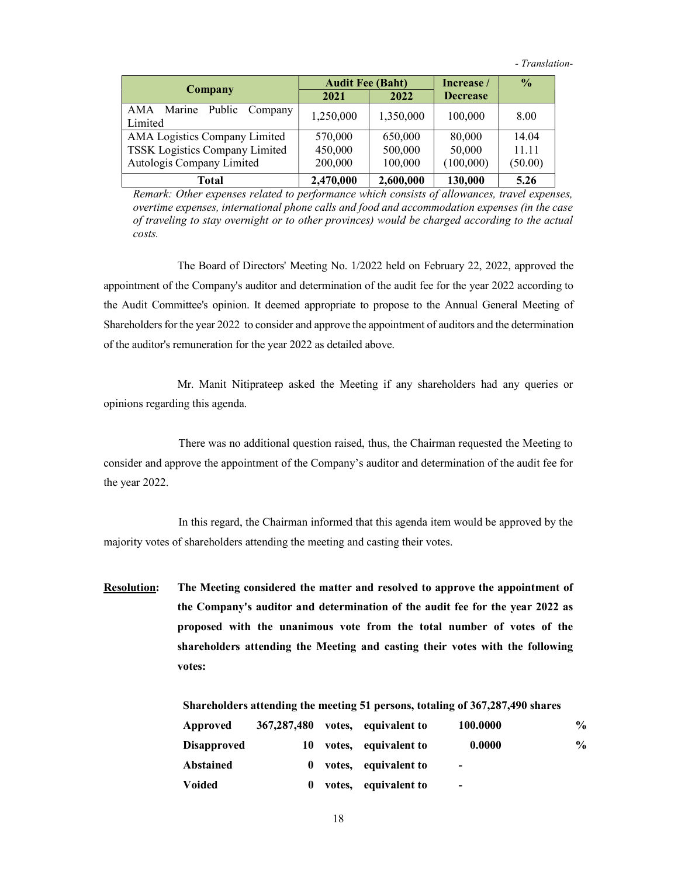|                                      | <b>Audit Fee (Baht)</b> |           | Increase /      | $\frac{6}{9}$ |
|--------------------------------------|-------------------------|-----------|-----------------|---------------|
| Company                              | 2021                    | 2022      | <b>Decrease</b> |               |
| AMA Marine Public Company<br>Limited | 1,250,000               | 1,350,000 | 100,000         | 8.00          |
| AMA Logistics Company Limited        | 570,000                 | 650,000   | 80,000          | 14.04         |
| TSSK Logistics Company Limited       | 450,000                 | 500,000   | 50,000          | 11.11         |
| Autologis Company Limited            | 200,000                 | 100,000   | (100,000)       | (50.00)       |
| Total                                | 2,470,000               | 2,600,000 | 130,000         | 5.26          |

Remark: Other expenses related to performance which consists of allowances, travel expenses, overtime expenses, international phone calls and food and accommodation expenses (in the case of traveling to stay overnight or to other provinces) would be charged according to the actual costs.

The Board of Directors' Meeting No. 1/2022 held on February 22, 2022, approved the appointment of the Company's auditor and determination of the audit fee for the year 2022 according to the Audit Committee's opinion. It deemed appropriate to propose to the Annual General Meeting of Shareholders for the year 2022 to consider and approve the appointment of auditors and the determination of the auditor's remuneration for the year 2022 as detailed above.

Mr. Manit Nitiprateep asked the Meeting if any shareholders had any queries or opinions regarding this agenda.

 There was no additional question raised, thus, the Chairman requested the Meeting to consider and approve the appointment of the Company's auditor and determination of the audit fee for the year 2022.

 In this regard, the Chairman informed that this agenda item would be approved by the majority votes of shareholders attending the meeting and casting their votes.

**Resolution:** The Meeting considered the matter and resolved to approve the appointment of the Company's auditor and determination of the audit fee for the year 2022 as proposed with the unanimous vote from the total number of votes of the shareholders attending the Meeting and casting their votes with the following votes:

|  |  |  | Shareholders attending the meeting 51 persons, totaling of 367,287,490 shares |
|--|--|--|-------------------------------------------------------------------------------|
|  |  |  |                                                                               |

| Approved           | 367,287,480 |        | votes, equivalent to | 100.0000                 | $\frac{0}{0}$ |
|--------------------|-------------|--------|----------------------|--------------------------|---------------|
| <b>Disapproved</b> | 10          |        | votes, equivalent to | 0.0000                   | $\frac{0}{0}$ |
| Abstained          | 0           |        | votes, equivalent to | $\overline{\phantom{0}}$ |               |
| <b>Voided</b>      |             | votes, | equivalent to        | $\,$                     |               |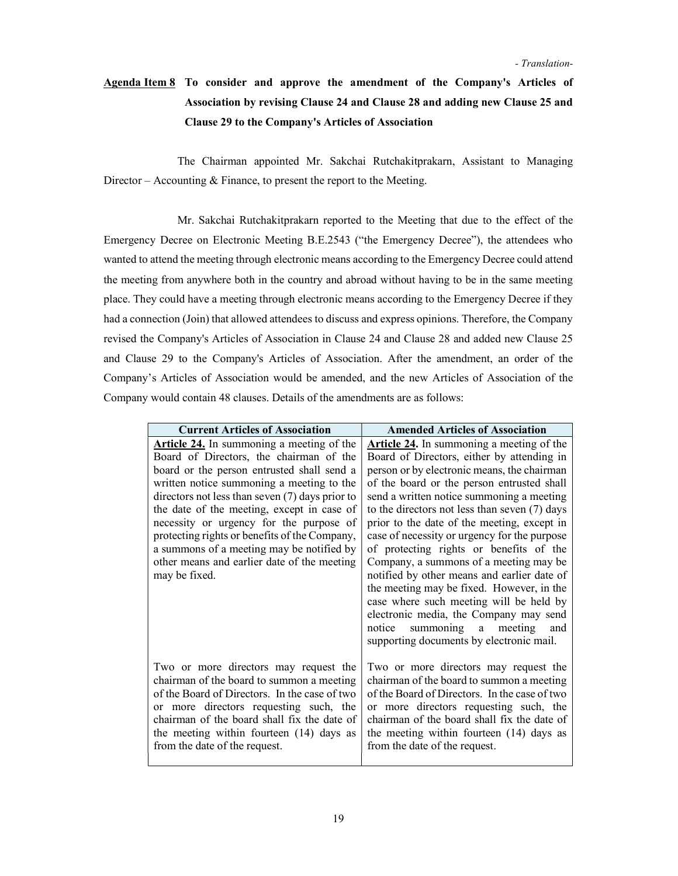# Agenda Item 8 To consider and approve the amendment of the Company's Articles of Association by revising Clause 24 and Clause 28 and adding new Clause 25 and Clause 29 to the Company's Articles of Association

 The Chairman appointed Mr. Sakchai Rutchakitprakarn, Assistant to Managing Director – Accounting & Finance, to present the report to the Meeting.

 Mr. Sakchai Rutchakitprakarn reported to the Meeting that due to the effect of the Emergency Decree on Electronic Meeting B.E.2543 ("the Emergency Decree"), the attendees who wanted to attend the meeting through electronic means according to the Emergency Decree could attend the meeting from anywhere both in the country and abroad without having to be in the same meeting place. They could have a meeting through electronic means according to the Emergency Decree if they had a connection (Join) that allowed attendees to discuss and express opinions. Therefore, the Company revised the Company's Articles of Association in Clause 24 and Clause 28 and added new Clause 25 and Clause 29 to the Company's Articles of Association. After the amendment, an order of the Company's Articles of Association would be amended, and the new Articles of Association of the Company would contain 48 clauses. Details of the amendments are as follows:

| <b>Current Articles of Association</b>                                                                                                                                                                                                                                                                                                                                                                                                                                                      | <b>Amended Articles of Association</b>                                                                                                                                                                                                                                                                                                                                                                                                                                                                                                                                                                                                                                                                                                                |
|---------------------------------------------------------------------------------------------------------------------------------------------------------------------------------------------------------------------------------------------------------------------------------------------------------------------------------------------------------------------------------------------------------------------------------------------------------------------------------------------|-------------------------------------------------------------------------------------------------------------------------------------------------------------------------------------------------------------------------------------------------------------------------------------------------------------------------------------------------------------------------------------------------------------------------------------------------------------------------------------------------------------------------------------------------------------------------------------------------------------------------------------------------------------------------------------------------------------------------------------------------------|
| Article 24. In summoning a meeting of the<br>Board of Directors, the chairman of the<br>board or the person entrusted shall send a<br>written notice summoning a meeting to the<br>directors not less than seven $(7)$ days prior to<br>the date of the meeting, except in case of<br>necessity or urgency for the purpose of<br>protecting rights or benefits of the Company,<br>a summons of a meeting may be notified by<br>other means and earlier date of the meeting<br>may be fixed. | <b>Article 24.</b> In summoning a meeting of the<br>Board of Directors, either by attending in<br>person or by electronic means, the chairman<br>of the board or the person entrusted shall<br>send a written notice summoning a meeting<br>to the directors not less than seven (7) days<br>prior to the date of the meeting, except in<br>case of necessity or urgency for the purpose<br>of protecting rights or benefits of the<br>Company, a summons of a meeting may be<br>notified by other means and earlier date of<br>the meeting may be fixed. However, in the<br>case where such meeting will be held by<br>electronic media, the Company may send<br>summoning a<br>meeting<br>notice<br>and<br>supporting documents by electronic mail. |
| Two or more directors may request the<br>chairman of the board to summon a meeting<br>of the Board of Directors. In the case of two<br>or more directors requesting such, the<br>chairman of the board shall fix the date of<br>the meeting within fourteen (14) days as<br>from the date of the request.                                                                                                                                                                                   | Two or more directors may request the<br>chairman of the board to summon a meeting<br>of the Board of Directors. In the case of two<br>or more directors requesting such, the<br>chairman of the board shall fix the date of<br>the meeting within fourteen (14) days as<br>from the date of the request.                                                                                                                                                                                                                                                                                                                                                                                                                                             |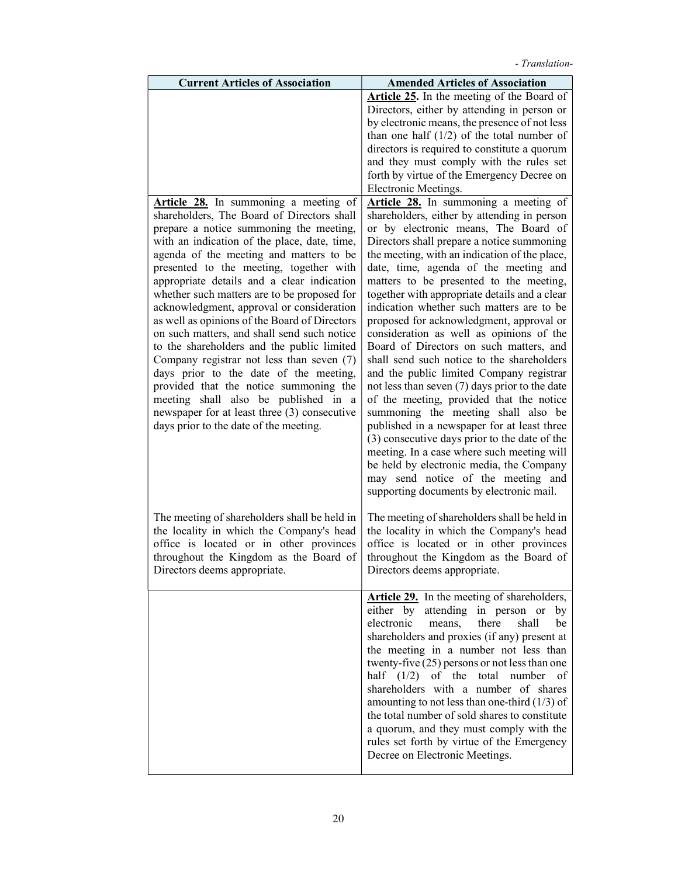| <b>Current Articles of Association</b>                                                                                                                                                                                                                                                                                                                                                                                                                                                                                                                                                                                                                                                                                                                                                                                          | <b>Amended Articles of Association</b>                                                                                                                                                                                                                                                                                                                                                                                                                                                                                                                                                                                                                                                                                                                                                                                                                                                                                                                                                                                                                      |
|---------------------------------------------------------------------------------------------------------------------------------------------------------------------------------------------------------------------------------------------------------------------------------------------------------------------------------------------------------------------------------------------------------------------------------------------------------------------------------------------------------------------------------------------------------------------------------------------------------------------------------------------------------------------------------------------------------------------------------------------------------------------------------------------------------------------------------|-------------------------------------------------------------------------------------------------------------------------------------------------------------------------------------------------------------------------------------------------------------------------------------------------------------------------------------------------------------------------------------------------------------------------------------------------------------------------------------------------------------------------------------------------------------------------------------------------------------------------------------------------------------------------------------------------------------------------------------------------------------------------------------------------------------------------------------------------------------------------------------------------------------------------------------------------------------------------------------------------------------------------------------------------------------|
|                                                                                                                                                                                                                                                                                                                                                                                                                                                                                                                                                                                                                                                                                                                                                                                                                                 | Article 25. In the meeting of the Board of<br>Directors, either by attending in person or<br>by electronic means, the presence of not less<br>than one half $(1/2)$ of the total number of<br>directors is required to constitute a quorum<br>and they must comply with the rules set<br>forth by virtue of the Emergency Decree on<br>Electronic Meetings.                                                                                                                                                                                                                                                                                                                                                                                                                                                                                                                                                                                                                                                                                                 |
| Article 28. In summoning a meeting of<br>shareholders, The Board of Directors shall<br>prepare a notice summoning the meeting,<br>with an indication of the place, date, time,<br>agenda of the meeting and matters to be<br>presented to the meeting, together with<br>appropriate details and a clear indication<br>whether such matters are to be proposed for<br>acknowledgment, approval or consideration<br>as well as opinions of the Board of Directors<br>on such matters, and shall send such notice<br>to the shareholders and the public limited<br>Company registrar not less than seven (7)<br>days prior to the date of the meeting,<br>provided that the notice summoning the<br>meeting shall also be published in a<br>newspaper for at least three (3) consecutive<br>days prior to the date of the meeting. | Article 28. In summoning a meeting of<br>shareholders, either by attending in person<br>or by electronic means, The Board of<br>Directors shall prepare a notice summoning<br>the meeting, with an indication of the place,<br>date, time, agenda of the meeting and<br>matters to be presented to the meeting,<br>together with appropriate details and a clear<br>indication whether such matters are to be<br>proposed for acknowledgment, approval or<br>consideration as well as opinions of the<br>Board of Directors on such matters, and<br>shall send such notice to the shareholders<br>and the public limited Company registrar<br>not less than seven (7) days prior to the date<br>of the meeting, provided that the notice<br>summoning the meeting shall also be<br>published in a newspaper for at least three<br>(3) consecutive days prior to the date of the<br>meeting. In a case where such meeting will<br>be held by electronic media, the Company<br>may send notice of the meeting and<br>supporting documents by electronic mail. |
| The meeting of shareholders shall be held in<br>the locality in which the Company's head<br>office is located or in other provinces<br>throughout the Kingdom as the Board of<br>Directors deems appropriate.                                                                                                                                                                                                                                                                                                                                                                                                                                                                                                                                                                                                                   | The meeting of shareholders shall be held in<br>the locality in which the Company's head<br>office is located or in other provinces<br>throughout the Kingdom as the Board of<br>Directors deems appropriate.                                                                                                                                                                                                                                                                                                                                                                                                                                                                                                                                                                                                                                                                                                                                                                                                                                               |
|                                                                                                                                                                                                                                                                                                                                                                                                                                                                                                                                                                                                                                                                                                                                                                                                                                 | <b>Article 29.</b> In the meeting of shareholders,<br>either by attending in person or<br>by<br>there<br>electronic<br>shall<br>be<br>means,<br>shareholders and proxies (if any) present at<br>the meeting in a number not less than<br>twenty-five $(25)$ persons or not less than one<br>half $(1/2)$<br>of the<br>total<br>number<br>of<br>shareholders with a number of shares<br>amounting to not less than one-third $(1/3)$ of<br>the total number of sold shares to constitute<br>a quorum, and they must comply with the<br>rules set forth by virtue of the Emergency<br>Decree on Electronic Meetings.                                                                                                                                                                                                                                                                                                                                                                                                                                          |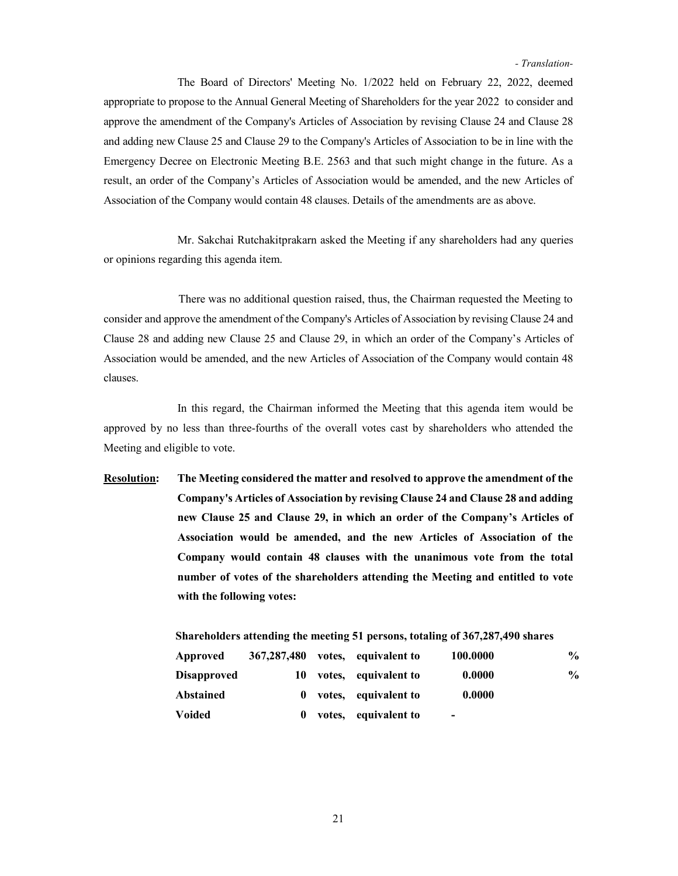The Board of Directors' Meeting No. 1/2022 held on February 22, 2022, deemed appropriate to propose to the Annual General Meeting of Shareholders for the year 2022 to consider and approve the amendment of the Company's Articles of Association by revising Clause 24 and Clause 28 and adding new Clause 25 and Clause 29 to the Company's Articles of Association to be in line with the Emergency Decree on Electronic Meeting B.E. 2563 and that such might change in the future. As a result, an order of the Company's Articles of Association would be amended, and the new Articles of Association of the Company would contain 48 clauses. Details of the amendments are as above.

Mr. Sakchai Rutchakitprakarn asked the Meeting if any shareholders had any queries or opinions regarding this agenda item.

 There was no additional question raised, thus, the Chairman requested the Meeting to consider and approve the amendment of the Company's Articles of Association by revising Clause 24 and Clause 28 and adding new Clause 25 and Clause 29, in which an order of the Company's Articles of Association would be amended, and the new Articles of Association of the Company would contain 48 clauses.

In this regard, the Chairman informed the Meeting that this agenda item would be approved by no less than three-fourths of the overall votes cast by shareholders who attended the Meeting and eligible to vote.

Resolution: The Meeting considered the matter and resolved to approve the amendment of the Company's Articles of Association by revising Clause 24 and Clause 28 and adding new Clause 25 and Clause 29, in which an order of the Company's Articles of Association would be amended, and the new Articles of Association of the Company would contain 48 clauses with the unanimous vote from the total number of votes of the shareholders attending the Meeting and entitled to vote with the following votes:

| Approved           | 367, 287, 480 |        | votes, equivalent to | 100.0000                 | $\frac{0}{0}$ |
|--------------------|---------------|--------|----------------------|--------------------------|---------------|
| <b>Disapproved</b> | 10            |        | votes, equivalent to | 0.0000                   | $\frac{1}{2}$ |
| Abstained          | $\mathbf{0}$  |        | votes, equivalent to | 0.0000                   |               |
| <b>Voided</b>      | $\bf{0}$      | votes, | equivalent to        | $\overline{\phantom{0}}$ |               |